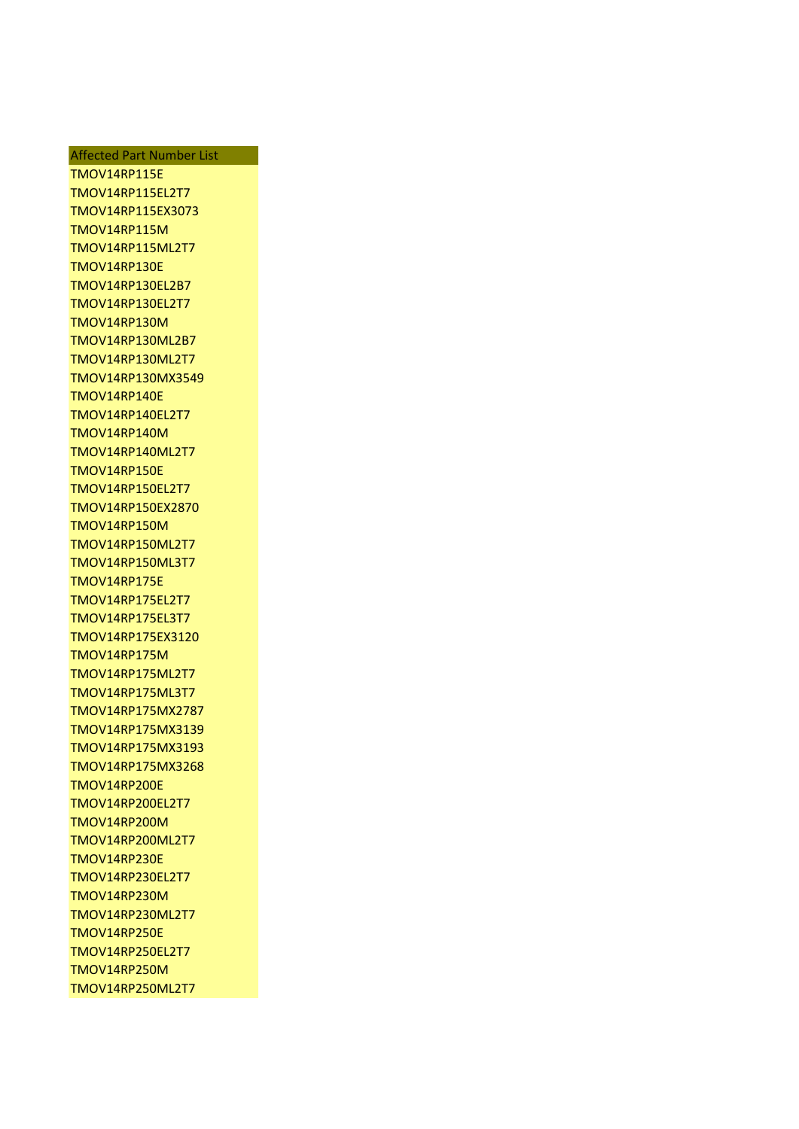Affected Part Number List TMOV14RP115E TMOV14RP115EL2T7 TMOV14RP115EX3073 TMOV14RP115M TMOV14RP115ML2T7 TMOV14RP130E TMOV14RP130EL2B7 TMOV14RP130EL2T7 TMOV14RP130M TMOV14RP130ML2B7 TMOV14RP130ML2T7 TMOV14RP130MX3549 TMOV14RP140E TMOV14RP140EL2T7 TMOV14RP140M TMOV14RP140ML2T7 TMOV14RP150E TMOV14RP150EL2T7 TMOV14RP150EX2870 TMOV14RP150M TMOV14RP150ML2T7 TMOV14RP150ML3T7 TMOV14RP175E TMOV14RP175EL2T7 TMOV14RP175EL3T7 TMOV14RP175EX3120 TMOV14RP175M TMOV14RP175ML2T7 TMOV14RP175ML3T7 TMOV14RP175MX2787 TMOV14RP175MX3139 TMOV14RP175MX3193 TMOV14RP175MX3268 TMOV14RP200E TMOV14RP200EL2T7 TMOV14RP200M TMOV14RP200ML2T7 TMOV14RP230E TMOV14RP230EL2T7 TMOV14RP230M TMOV14RP230ML2T7 TMOV14RP250E TMOV14RP250EL2T7 TMOV14RP250M TMOV14RP250ML2T7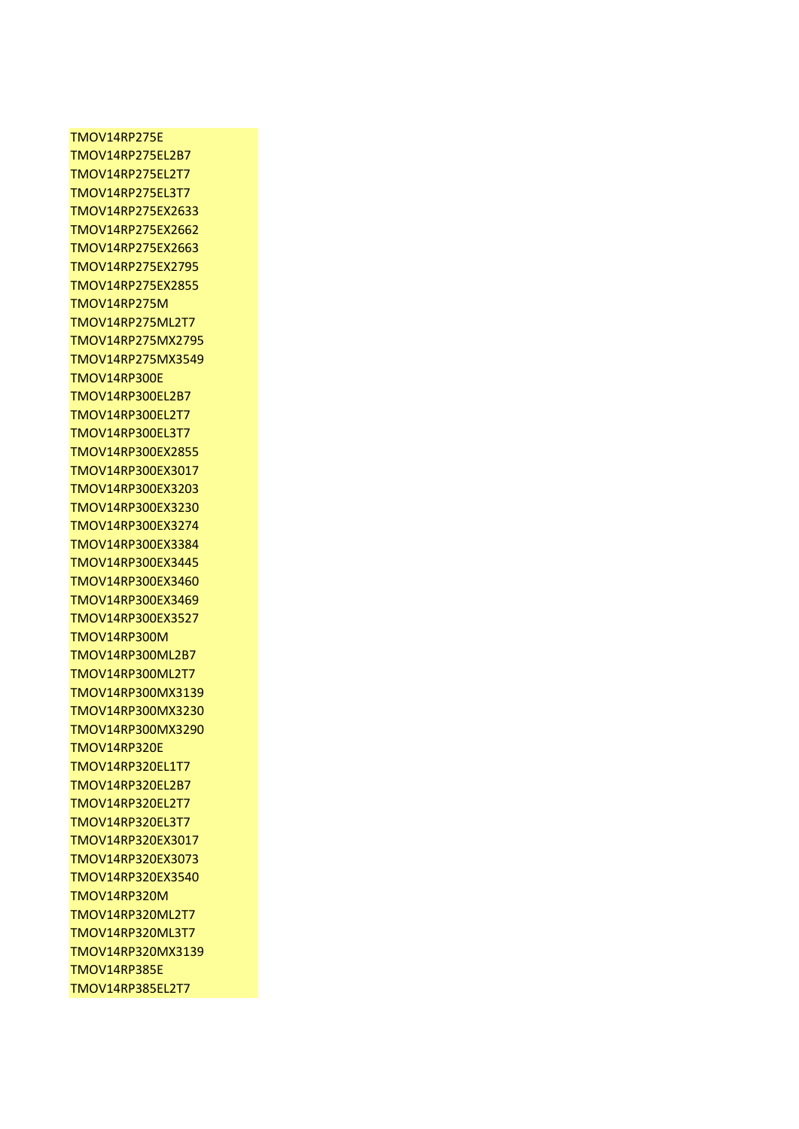## TMOV14RP275E TMOV14RP275EL2B7 TMOV14RP275EL2T7 TMOV14RP275EL3T7 TMOV14RP275EX2633 TMOV14RP275EX2662 TMOV14RP275EX2663 TMOV14RP275EX2795 TMOV14RP275EX2855 TMOV14RP275M TMOV14RP275ML2T7 TMOV14RP275MX2795 TMOV14RP275MX3549 TMOV14RP300E TMOV14RP300EL2B7 TMOV14RP300EL2T7 TMOV14RP300EL3T7 TMOV14RP300EX2855 TMOV14RP300EX3017 TMOV14RP300EX3203 TMOV14RP300EX3230 TMOV14RP300EX3274 TMOV14RP300EX3384 TMOV14RP300EX3445 TMOV14RP300EX3460 TMOV14RP300EX3469 TMOV14RP300EX3527 TMOV14RP300M TMOV14RP300ML2B7 TMOV14RP300ML2T7 TMOV14RP300MX3139 TMOV14RP300MX3230 TMOV14RP300MX3290 TMOV14RP320E TMOV14RP320EL1T7 TMOV14RP320EL2B7 TMOV14RP320EL2T7 TMOV14RP320EL3T7 TMOV14RP320EX3017 TMOV14RP320EX3073 TMOV14RP320EX3540 TMOV14RP320M TMOV14RP320ML2T7 TMOV14RP320ML3T7 TMOV14RP320MX3139 TMOV14RP385E TMOV14RP385EL2T7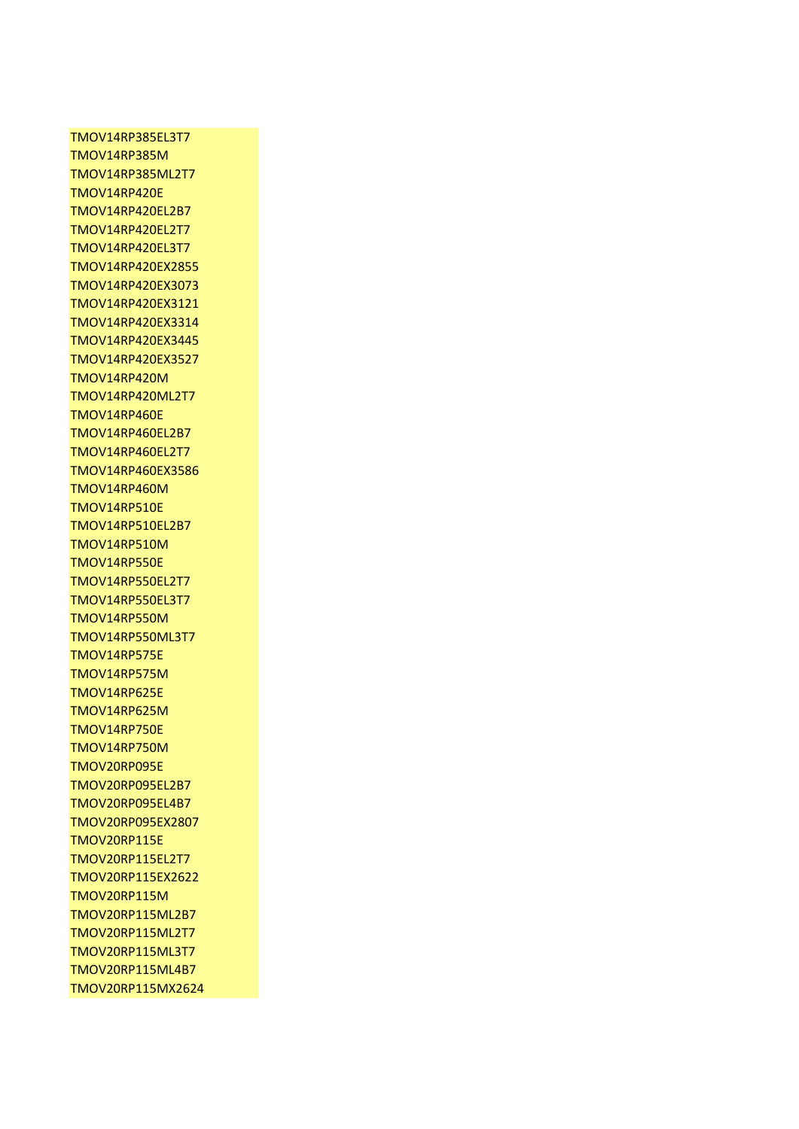TMOV14RP385EL3T7 TMOV14RP385M TMOV14RP385ML2T7 TMOV14RP420E TMOV14RP420EL2B7 TMOV14RP420EL2T7 TMOV14RP420EL3T7 TMOV14RP420EX2855 TMOV14RP420EX3073 TMOV14RP420EX3121 TMOV14RP420EX3314 TMOV14RP420EX3445 TMOV14RP420EX3527 TMOV14RP420M TMOV14RP420ML2T7 TMOV14RP460E TMOV14RP460EL2B7 TMOV14RP460EL2T7 TMOV14RP460EX3586 TMOV14RP460M TMOV14RP510E TMOV14RP510EL2B7 TMOV14RP510M TMOV14RP550E TMOV14RP550EL2T7 TMOV14RP550EL3T7 TMOV14RP550M TMOV14RP550ML3T7 TMOV14RP575E TMOV14RP575M TMOV14RP625E TMOV14RP625M TMOV14RP750E TMOV14RP750M TMOV20RP095E TMOV20RP095EL2B7 TMOV20RP095EL4B7 TMOV20RP095EX2807 TMOV20RP115E TMOV20RP115EL2T7 TMOV20RP115EX2622 TMOV20RP115M TMOV20RP115ML2B7 TMOV20RP115ML2T7 TMOV20RP115ML3T7 TMOV20RP115ML4B7 TMOV20RP115MX2624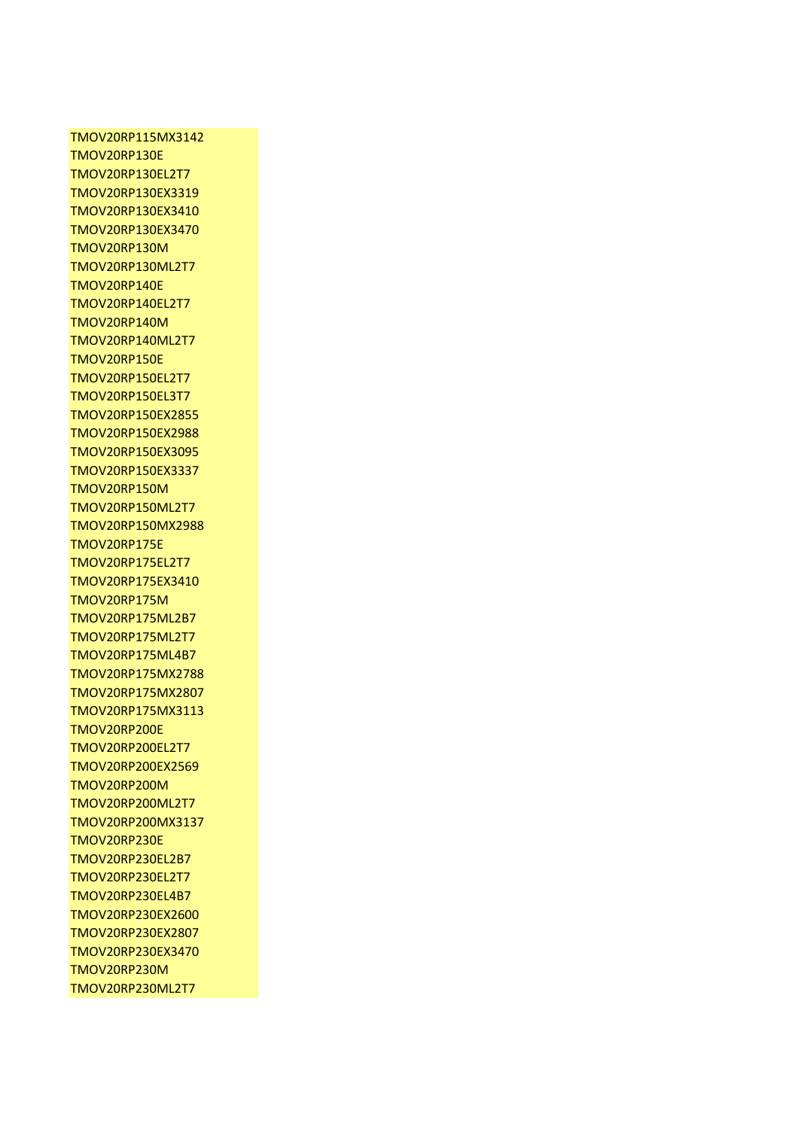TMOV20RP115MX3142 TMOV20RP130E TMOV20RP130EL2T7 TMOV20RP130EX3319 TMOV20RP130EX3410 TMOV20RP130EX3470 TMOV20RP130M TMOV20RP130ML2T7 TMOV20RP140E TMOV20RP140EL2T7 TMOV20RP140M TMOV20RP140ML2T7 TMOV20RP150E TMOV20RP150EL2T7 TMOV20RP150EL3T7 TMOV20RP150EX2855 TMOV20RP150EX2988 TMOV20RP150EX3095 TMOV20RP150EX3337 TMOV20RP150M TMOV20RP150ML2T7 TMOV20RP150MX2988 TMOV20RP175E TMOV20RP175EL2T7 TMOV20RP175EX3410 TMOV20RP175M TMOV20RP175ML2B7 TMOV20RP175ML2T7 TMOV20RP175ML4B7 TMOV20RP175MX2788 TMOV20RP175MX2807 TMOV20RP175MX3113 TMOV20RP200E TMOV20RP200EL2T7 TMOV20RP200EX2569 TMOV20RP200M TMOV20RP200ML2T7 TMOV20RP200MX3137 TMOV20RP230E TMOV20RP230EL2B7 TMOV20RP230EL2T7 TMOV20RP230EL4B7 TMOV20RP230EX2600 TMOV20RP230EX2807 TMOV20RP230EX3470 TMOV20RP230M TMOV20RP230ML2T7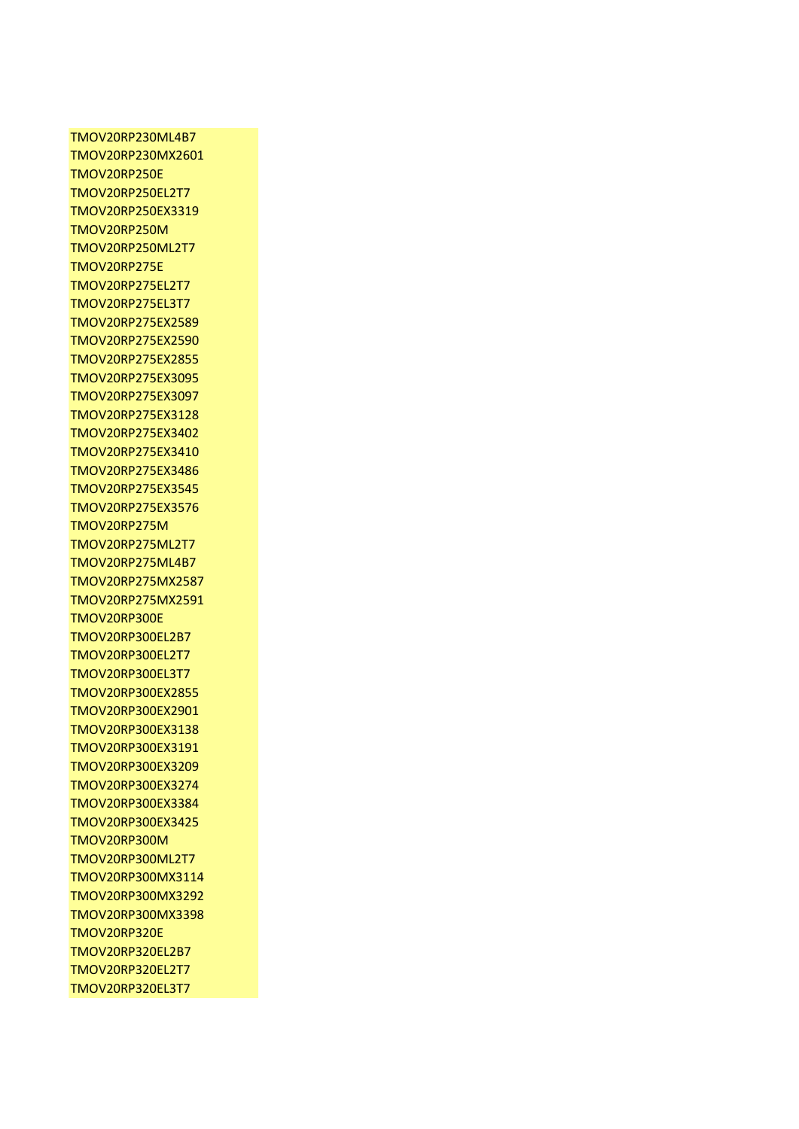TMOV20RP230ML4B7 TMOV20RP230MX2601 TMOV20RP250E TMOV20RP250EL2T7 TMOV20RP250EX3319 TMOV20RP250M TMOV20RP250ML2T7 TMOV20RP275E TMOV20RP275EL2T7 TMOV20RP275EL3T7 TMOV20RP275EX2589 TMOV20RP275EX2590 TMOV20RP275EX2855 TMOV20RP275EX3095 TMOV20RP275EX3097 TMOV20RP275EX3128 TMOV20RP275EX3402 TMOV20RP275EX3410 TMOV20RP275EX3486 TMOV20RP275EX3545 TMOV20RP275EX3576 TMOV20RP275M TMOV20RP275ML2T7 TMOV20RP275ML4B7 TMOV20RP275MX2587 TMOV20RP275MX2591 TMOV20RP300E TMOV20RP300EL2B7 TMOV20RP300EL2T7 TMOV20RP300EL3T7 TMOV20RP300EX2855 TMOV20RP300EX2901 TMOV20RP300EX3138 TMOV20RP300EX3191 TMOV20RP300EX3209 TMOV20RP300EX3274 TMOV20RP300EX3384 TMOV20RP300EX3425 TMOV20RP300M TMOV20RP300ML2T7 TMOV20RP300MX3114 TMOV20RP300MX3292 TMOV20RP300MX3398 TMOV20RP320E TMOV20RP320EL2B7 TMOV20RP320EL2T7 TMOV20RP320EL3T7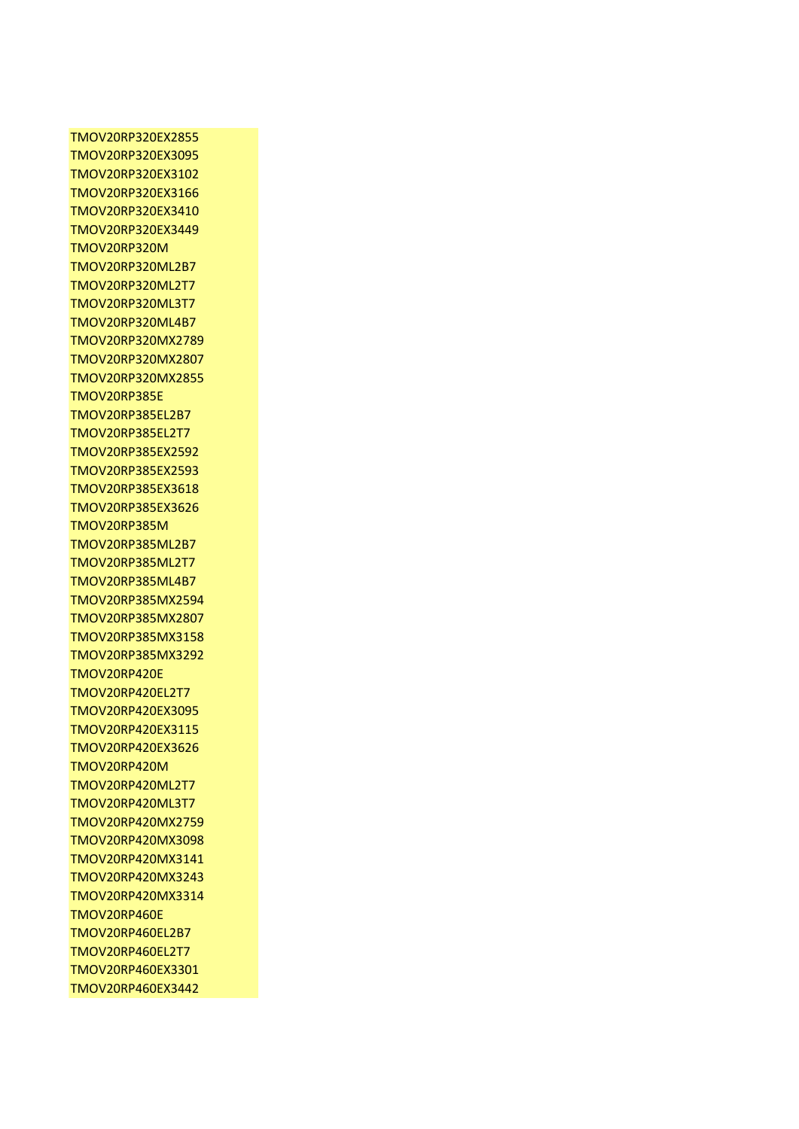TMOV20RP320EX2855 TMOV20RP320EX3095 TMOV20RP320EX3102 TMOV20RP320EX3166 TMOV20RP320EX3410 TMOV20RP320EX3449 TMOV20RP320M TMOV20RP320ML2B7 TMOV20RP320ML2T7 TMOV20RP320ML3T7 TMOV20RP320ML4B7 TMOV20RP320MX2789 TMOV20RP320MX2807 TMOV20RP320MX2855 TMOV20RP385E TMOV20RP385EL2B7 TMOV20RP385EL2T7 TMOV20RP385EX2592 TMOV20RP385EX2593 TMOV20RP385EX3618 TMOV20RP385EX3626 TMOV20RP385M TMOV20RP385ML2B7 TMOV20RP385ML2T7 TMOV20RP385ML4B7 TMOV20RP385MX2594 TMOV20RP385MX2807 TMOV20RP385MX3158 TMOV20RP385MX3292 TMOV20RP420E TMOV20RP420EL2T7 TMOV20RP420EX3095 TMOV20RP420EX3115 TMOV20RP420EX3626 TMOV20RP420M TMOV20RP420ML2T7 TMOV20RP420ML3T7 TMOV20RP420MX2759 TMOV20RP420MX3098 TMOV20RP420MX3141 TMOV20RP420MX3243 TMOV20RP420MX3314 TMOV20RP460E TMOV20RP460EL2B7 TMOV20RP460EL2T7 TMOV20RP460EX3301 TMOV20RP460EX3442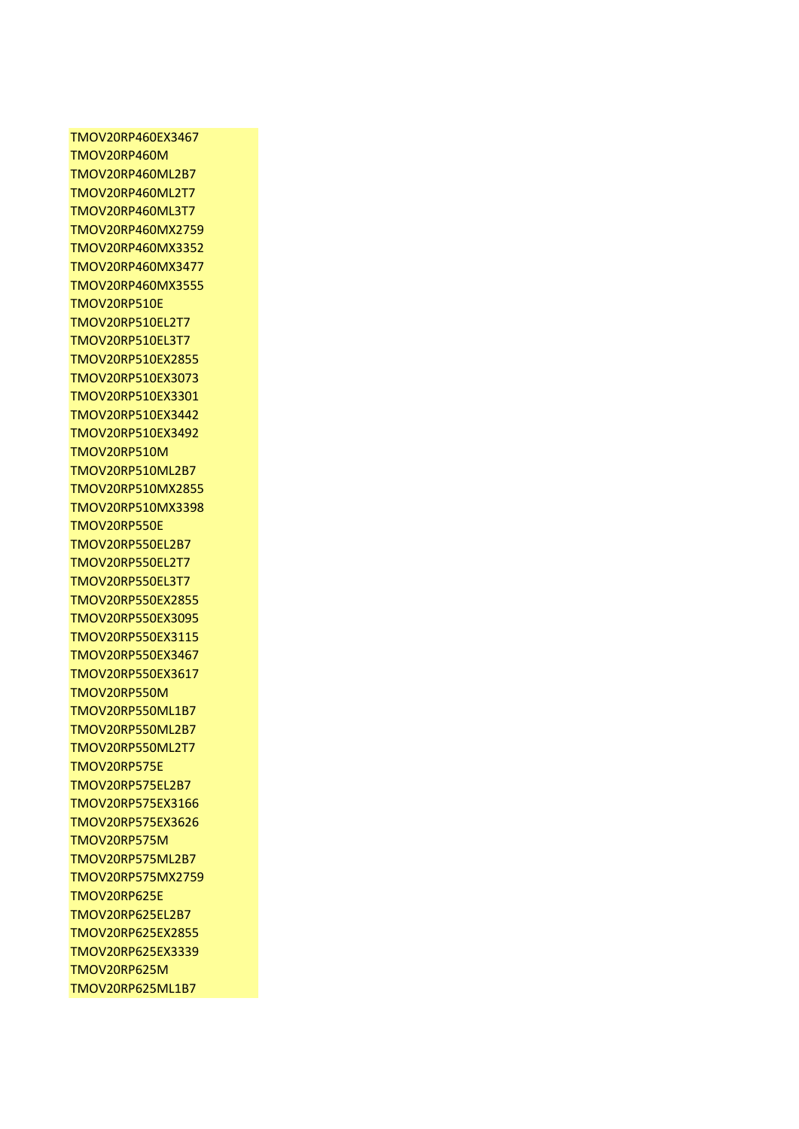TMOV20RP460EX3467 TMOV20RP460M TMOV20RP460ML2B7 TMOV20RP460ML2T7 TMOV20RP460ML3T7 TMOV20RP460MX2759 TMOV20RP460MX3352 TMOV20RP460MX3477 TMOV20RP460MX3555 TMOV20RP510E TMOV20RP510EL2T7 TMOV20RP510EL3T7 TMOV20RP510EX2855 TMOV20RP510EX3073 TMOV20RP510EX3301 TMOV20RP510EX3442 TMOV20RP510EX3492 TMOV20RP510M TMOV20RP510ML2B7 TMOV20RP510MX2855 TMOV20RP510MX3398 TMOV20RP550E TMOV20RP550EL2B7 TMOV20RP550EL2T7 TMOV20RP550EL3T7 TMOV20RP550EX2855 TMOV20RP550EX3095 TMOV20RP550EX3115 TMOV20RP550EX3467 TMOV20RP550EX3617 TMOV20RP550M TMOV20RP550ML1B7 TMOV20RP550ML2B7 TMOV20RP550ML2T7 TMOV20RP575E TMOV20RP575EL2B7 TMOV20RP575EX3166 TMOV20RP575EX3626 TMOV20RP575M TMOV20RP575ML2B7 TMOV20RP575MX2759 TMOV20RP625E TMOV20RP625EL2B7 TMOV20RP625EX2855 TMOV20RP625EX3339 TMOV20RP625M TMOV20RP625ML1B7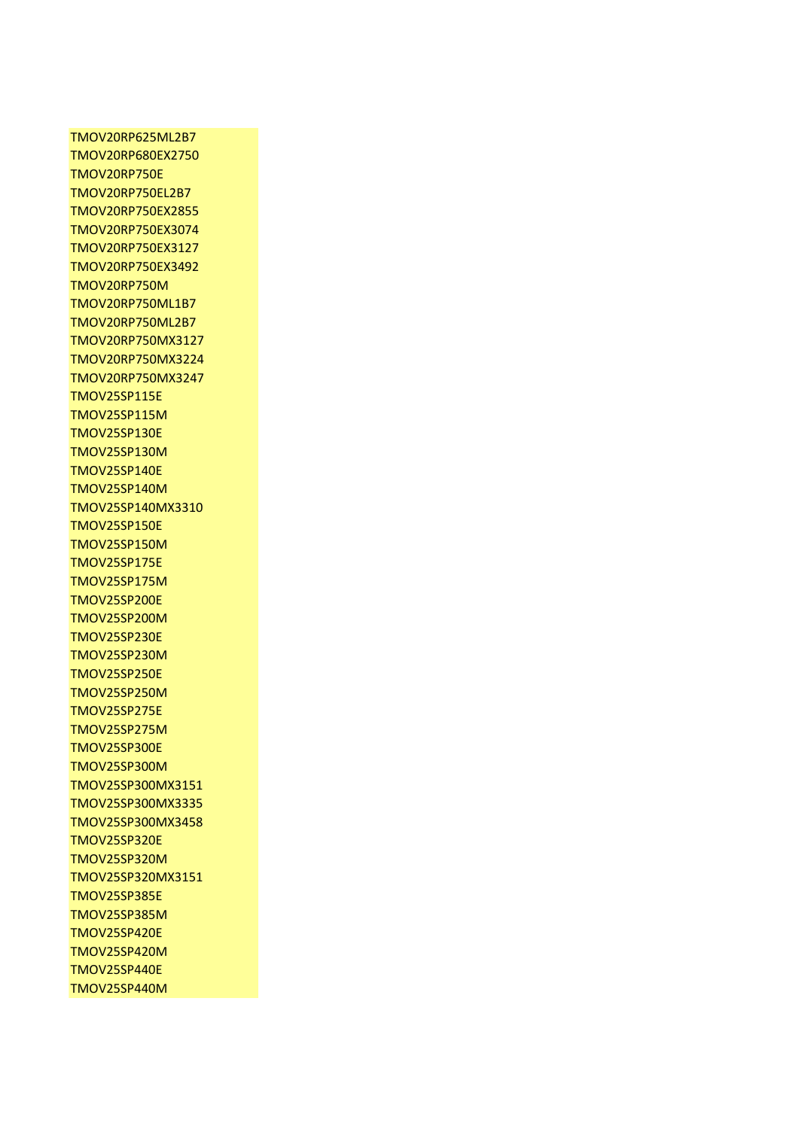TMOV20RP625ML2B7 TMOV20RP680EX2750 TMOV20RP750E TMOV20RP750EL2B7 TMOV20RP750EX2855 TMOV20RP750EX3074 TMOV20RP750EX3127 TMOV20RP750EX3492 TMOV20RP750M TMOV20RP750ML1B7 TMOV20RP750ML2B7 TMOV20RP750MX3127 TMOV20RP750MX3224 TMOV20RP750MX3247 TMOV25SP115E TMOV25SP115M TMOV25SP130E TMOV25SP130M TMOV25SP140E TMOV25SP140M TMOV25SP140MX3310 TMOV25SP150E TMOV25SP150M TMOV25SP175E TMOV25SP175M TMOV25SP200E TMOV25SP200M TMOV25SP230E TMOV25SP230M TMOV25SP250E TMOV25SP250M TMOV25SP275E TMOV25SP275M TMOV25SP300E TMOV25SP300M TMOV25SP300MX3151 TMOV25SP300MX3335 TMOV25SP300MX3458 TMOV25SP320E TMOV25SP320M TMOV25SP320MX3151 TMOV25SP385E TMOV25SP385M TMOV25SP420E TMOV25SP420M TMOV25SP440E TMOV25SP440M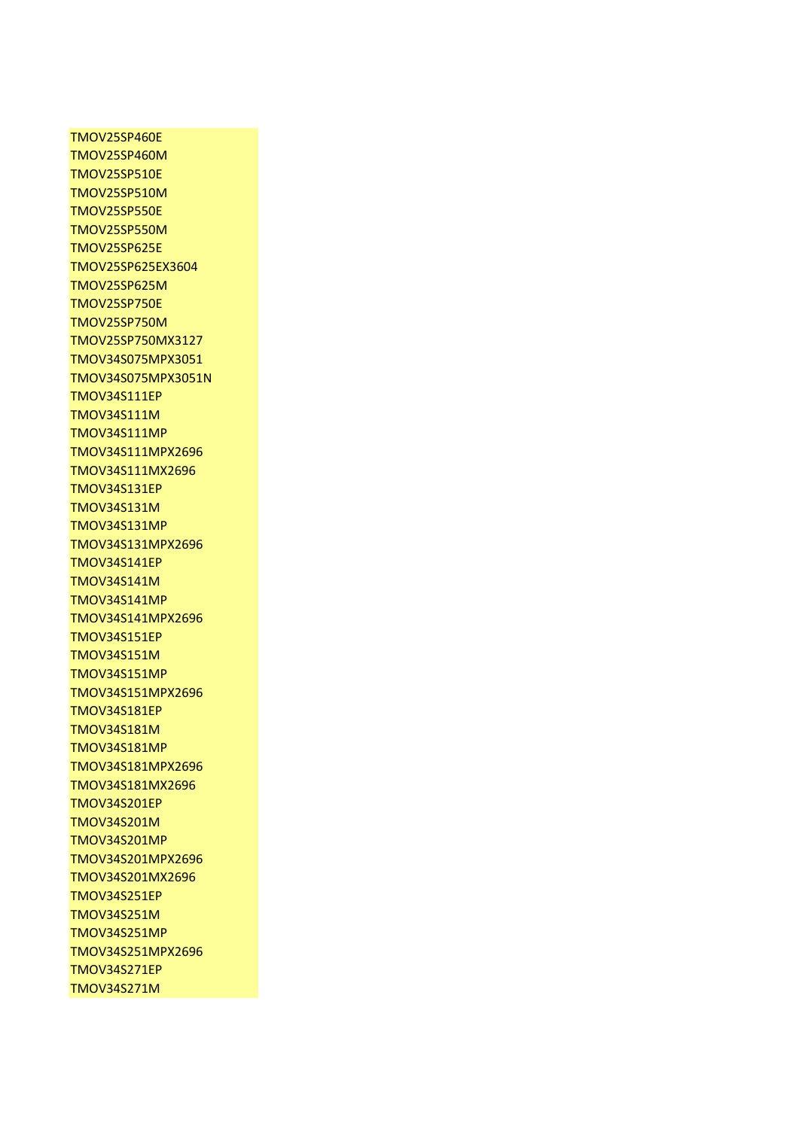TMOV25SP460E TMOV25SP460M TMOV25SP510E TMOV25SP510M TMOV25SP550E TMOV25SP550M TMOV25SP625E TMOV25SP625EX3604 TMOV25SP625M TMOV25SP750E TMOV25SP750M TMOV25SP750MX3127 TMOV34S075MPX3051 TMOV34S075MPX3051N TMOV34S111EP TMOV34S111M TMOV34S111MP TMOV34S111MPX2696 TMOV34S111MX2696 TMOV34S131EP TMOV34S131M TMOV34S131MP TMOV34S131MPX2696 TMOV34S141EP TMOV34S141M TMOV34S141MP TMOV34S141MPX2696 TMOV34S151EP TMOV34S151M TMOV34S151MP TMOV34S151MPX2696 TMOV34S181EP TMOV34S181M TMOV34S181MP TMOV34S181MPX2696 TMOV34S181MX2696 TMOV34S201EP TMOV34S201M TMOV34S201MP TMOV34S201MPX2696 TMOV34S201MX2696 TMOV34S251EP TMOV34S251M TMOV34S251MP TMOV34S251MPX2696 TMOV34S271EP TMOV34S271M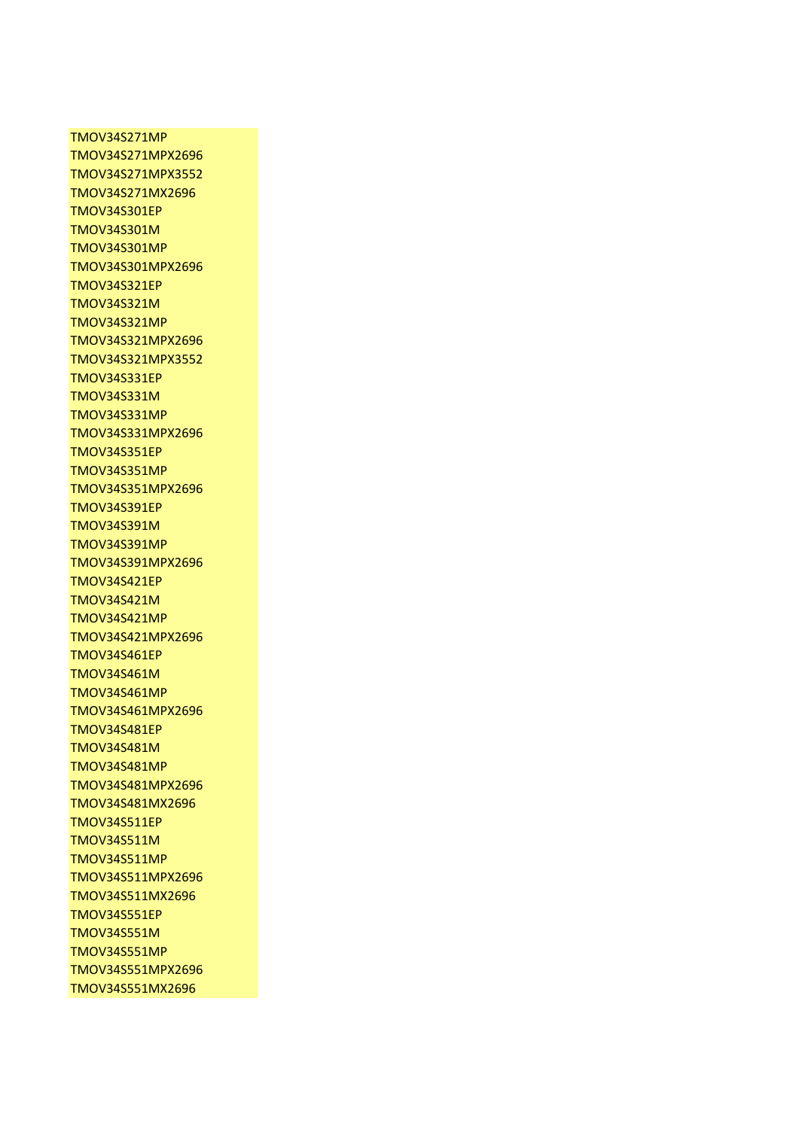TMOV34S271MP TMOV34S271MPX2696 TMOV34S271MPX3552 TMOV34S271MX2696 TMOV34S301EP TMOV34S301M TMOV34S301MP TMOV34S301MPX2696 TMOV34S321EP TMOV34S321M TMOV34S321MP TMOV34S321MPX2696 TMOV34S321MPX3552 TMOV34S331EP TMOV34S331M TMOV34S331MP TMOV34S331MPX2696 TMOV34S351EP TMOV34S351MP TMOV34S351MPX2696 TMOV34S391EP TMOV34S391M TMOV34S391MP TMOV34S391MPX2696 TMOV34S421EP TMOV34S421M TMOV34S421MP TMOV34S421MPX2696 TMOV34S461EP TMOV34S461M TMOV34S461MP TMOV34S461MPX2696 TMOV34S481EP TMOV34S481M TMOV34S481MP TMOV34S481MPX2696 TMOV34S481MX2696 TMOV34S511EP TMOV34S511M TMOV34S511MP TMOV34S511MPX2696 TMOV34S511MX2696 TMOV34S551EP TMOV34S551M TMOV34S551MP TMOV34S551MPX2696 TMOV34S551MX2696